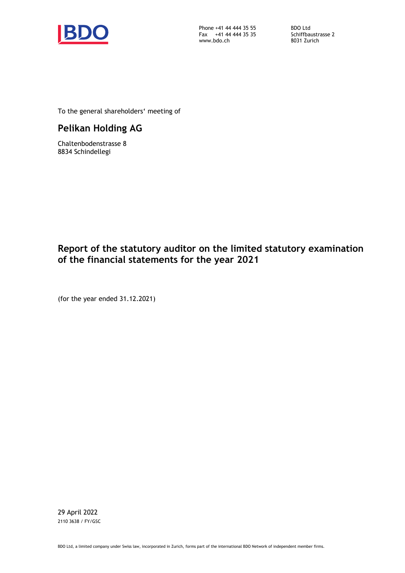

Phone +41 44 444 35 55 Fax +41 44 444 35 35 www.bdo.ch

BDO Ltd Schiffbaustrasse 2 8031 Zurich

To the general shareholders' meeting of

# **Pelikan Holding AG**

Chaltenbodenstrasse 8 8834 Schindellegi

# **Report of the statutory auditor on the limited statutory examination of the financial statements for the year 2021**

(for the year ended 31.12.2021)

29 April 2022 2110 3638 / FY/GSC

BDO Ltd, a limited company under Swiss law, incorporated in Zurich, forms part of the international BDO Network of independent member firms.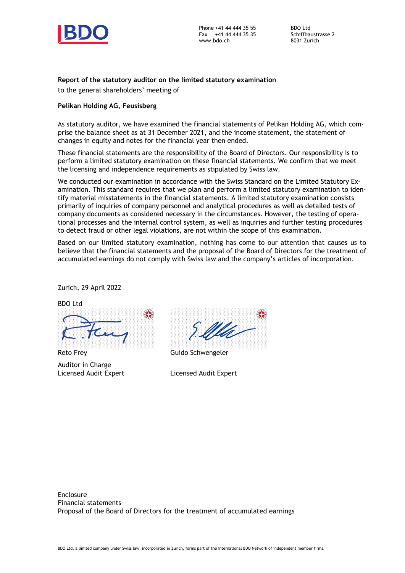

Phone +41 44 444 35 55 Fax +41 44 444 35 35 www.bdo.ch

BDO Ltd Schiffbaustrasse 2 8031 Zurich

#### **Report of the statutory auditor on the limited statutory examination**

to the general shareholders' meeting of

#### **Pelikan Holding AG, Feusisberg**

As statutory auditor, we have examined the financial statements of Pelikan Holding AG, which comprise the balance sheet as at 31 December 2021, and the income statement, the statement of changes in equity and notes for the financial year then ended.

These financial statements are the responsibility of the Board of Directors. Our responsibility is to perform a limited statutory examination on these financial statements. We confirm that we meet the licensing and independence requirements as stipulated by Swiss law.

We conducted our examination in accordance with the Swiss Standard on the Limited Statutory Examination. This standard requires that we plan and perform a limited statutory examination to identify material misstatements in the financial statements. A limited statutory examination consists primarily of inquiries of company personnel and analytical procedures as well as detailed tests of company documents as considered necessary in the circumstances. However, the testing of operational processes and the internal control system, as well as inquiries and further testing procedures to detect fraud or other legal violations, are not within the scope of this examination.

Based on our limited statutory examination, nothing has come to our attention that causes us to believe that the financial statements and the proposal of the Board of Directors for the treatment of accumulated earnings do not comply with Swiss law and the company's articles of incorporation.

Zurich, 29 April 2022



Auditor in Charge Licensed Audit Expert

|  |  |  |       |  |  |  |  |  |  |  |  |  |  | $\odot$ |  |  |
|--|--|--|-------|--|--|--|--|--|--|--|--|--|--|---------|--|--|
|  |  |  | Ella- |  |  |  |  |  |  |  |  |  |  |         |  |  |
|  |  |  |       |  |  |  |  |  |  |  |  |  |  |         |  |  |

Guido Schwengeler

Licensed Audit Expert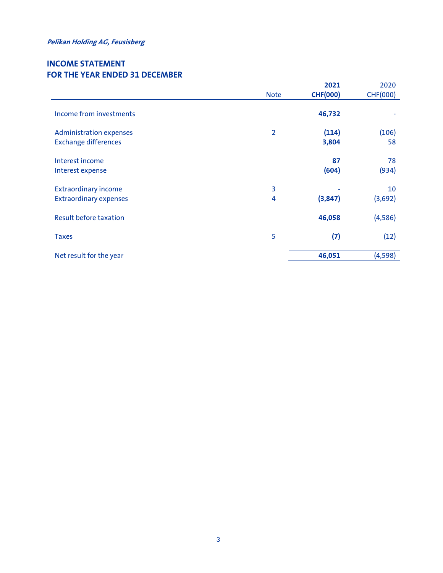# **INCOME STATEMENT FOR THE YEAR ENDED 31 DECEMBER**

|                                |                | 2021            | 2020            |
|--------------------------------|----------------|-----------------|-----------------|
|                                | <b>Note</b>    | <b>CHF(000)</b> | <b>CHF(000)</b> |
| Income from investments        |                | 46,732          |                 |
| <b>Administration expenses</b> | $\overline{2}$ | (114)           | (106)           |
| <b>Exchange differences</b>    |                | 3,804           | 58              |
|                                |                |                 |                 |
| Interest income                |                | 87              | 78              |
| Interest expense               |                | (604)           | (934)           |
| <b>Extraordinary income</b>    | 3              |                 | 10              |
| <b>Extraordinary expenses</b>  | 4              | (3, 847)        | (3,692)         |
|                                |                |                 |                 |
| <b>Result before taxation</b>  |                | 46,058          | (4,586)         |
|                                |                |                 |                 |
| <b>Taxes</b>                   | 5              | (7)             | (12)            |
| Net result for the year        |                | 46,051          | (4, 598)        |
|                                |                |                 |                 |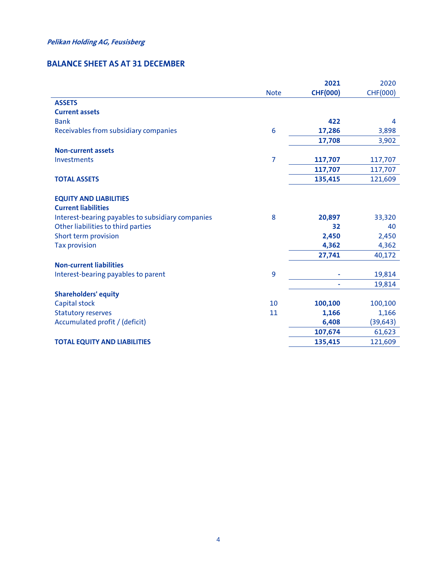# **BALANCE SHEET AS AT 31 DECEMBER**

|                                                   |             | 2021            | 2020            |
|---------------------------------------------------|-------------|-----------------|-----------------|
|                                                   | <b>Note</b> | <b>CHF(000)</b> | <b>CHF(000)</b> |
| <b>ASSETS</b>                                     |             |                 |                 |
| <b>Current assets</b>                             |             |                 |                 |
| <b>Bank</b>                                       |             | 422             | 4               |
| Receivables from subsidiary companies             | 6           | 17,286          | 3,898           |
|                                                   |             | 17,708          | 3,902           |
| <b>Non-current assets</b>                         |             |                 |                 |
| Investments                                       | 7           | 117,707         | 117,707         |
|                                                   |             | 117,707         | 117,707         |
| <b>TOTAL ASSETS</b>                               |             | 135,415         | 121,609         |
| <b>EQUITY AND LIABILITIES</b>                     |             |                 |                 |
| <b>Current liabilities</b>                        |             |                 |                 |
| Interest-bearing payables to subsidiary companies | 8           | 20,897          | 33,320          |
| Other liabilities to third parties                |             | 32              | 40              |
| Short term provision                              |             | 2,450           | 2,450           |
| <b>Tax provision</b>                              |             | 4,362           | 4,362           |
|                                                   |             | 27,741          | 40,172          |
| <b>Non-current liabilities</b>                    |             |                 |                 |
| Interest-bearing payables to parent               | 9           |                 | 19,814          |
|                                                   |             |                 | 19,814          |
| <b>Shareholders' equity</b>                       |             |                 |                 |
| Capital stock                                     | 10          | 100,100         | 100,100         |
| <b>Statutory reserves</b>                         | 11          | 1,166           | 1,166           |
| Accumulated profit / (deficit)                    |             | 6,408           | (39, 643)       |
|                                                   |             | 107,674         | 61,623          |
| <b>TOTAL EQUITY AND LIABILITIES</b>               |             | 135,415         | 121,609         |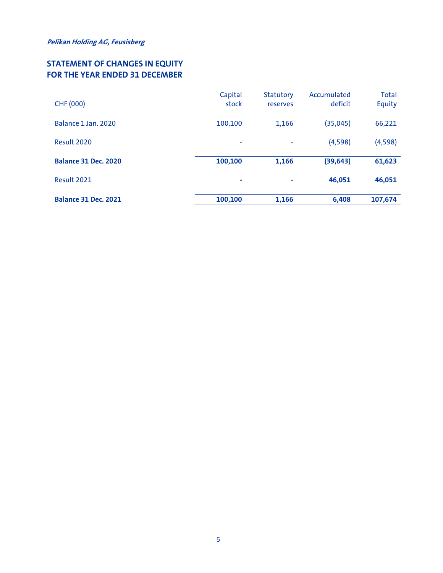# **STATEMENT OF CHANGES IN EQUITY FOR THE YEAR ENDED 31 DECEMBER**

| <b>CHF (000)</b>            | Capital<br>stock | Statutory<br>reserves | Accumulated<br>deficit | <b>Total</b><br>Equity |
|-----------------------------|------------------|-----------------------|------------------------|------------------------|
|                             |                  |                       |                        |                        |
| Balance 1 Jan. 2020         | 100,100          | 1,166                 | (35, 045)              | 66,221                 |
| Result 2020                 | ٠                | ٠                     | (4,598)                | (4,598)                |
| <b>Balance 31 Dec. 2020</b> | 100,100          | 1,166                 | (39, 643)              | 61,623                 |
| Result 2021                 | ٠                | ÷                     | 46,051                 | 46,051                 |
| <b>Balance 31 Dec. 2021</b> | 100,100          | 1,166                 | 6,408                  | 107,674                |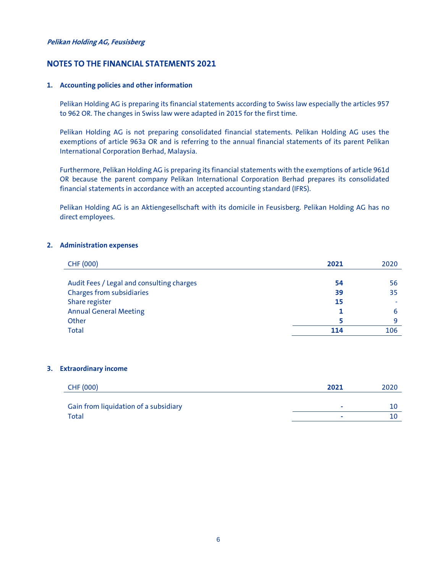#### **NOTES TO THE FINANCIAL STATEMENTS 2021**

#### **1. Accounting policies and other information**

Pelikan Holding AG is preparing its financial statements according to Swiss law especially the articles 957 to 962 OR. The changes in Swiss law were adapted in 2015 for the first time.

Pelikan Holding AG is not preparing consolidated financial statements. Pelikan Holding AG uses the exemptions of article 963a OR and is referring to the annual financial statements of its parent Pelikan International Corporation Berhad, Malaysia.

Furthermore, Pelikan Holding AG is preparing its financial statements with the exemptions of article 961d OR because the parent company Pelikan International Corporation Berhad prepares its consolidated financial statements in accordance with an accepted accounting standard (IFRS).

Pelikan Holding AG is an Aktiengesellschaft with its domicile in Feusisberg. Pelikan Holding AG has no direct employees.

#### **2. Administration expenses**

| <b>CHF (000)</b>                          | 2021 | 2020 |
|-------------------------------------------|------|------|
|                                           |      |      |
| Audit Fees / Legal and consulting charges | 54   | 56   |
| Charges from subsidiaries                 | 39   | 35   |
| Share register                            | 15   | ٠    |
| <b>Annual General Meeting</b>             |      | 6    |
| Other                                     |      | q    |
| Total                                     | 114  | 106  |

#### **3. Extraordinary income**

| CHF (000)                             | 2021 | 2020 |
|---------------------------------------|------|------|
|                                       |      |      |
| Gain from liquidation of a subsidiary |      |      |
| Total                                 |      |      |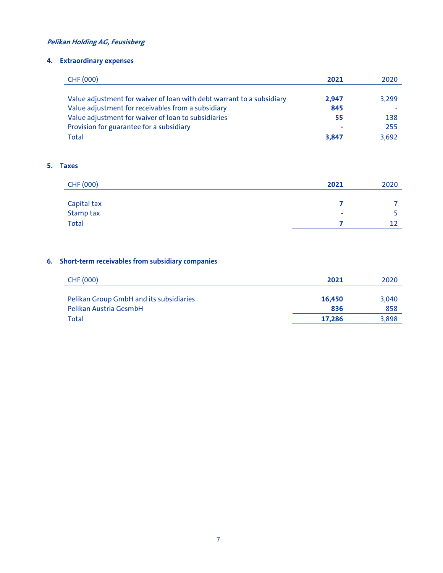# **4. Extraordinary expenses**

| CHF (000)                                                             | 2021  | 2020  |
|-----------------------------------------------------------------------|-------|-------|
|                                                                       |       |       |
| Value adjustment for waiver of loan with debt warrant to a subsidiary | 2.947 | 3,299 |
| Value adjustment for receivables from a subsidiary                    | 845   |       |
| Value adjustment for waiver of loan to subsidiaries                   | 55    | 138   |
| Provision for guarantee for a subsidiary                              | ۰     | 255   |
| Total                                                                 | 3,847 | 3,692 |

### **5. Taxes**

| CHF (000)        | 2021 | 2020 |
|------------------|------|------|
|                  |      |      |
| Capital tax      |      |      |
| <b>Stamp tax</b> | ۰    |      |
| <b>Total</b>     |      |      |

# **6. Short-term receivables from subsidiary companies**

| CHF (000)                               | 2021   | 2020  |
|-----------------------------------------|--------|-------|
|                                         |        |       |
| Pelikan Group GmbH and its subsidiaries | 16,450 | 3.040 |
| Pelikan Austria GesmbH                  | 836    | 858   |
| Total                                   | 17.286 | 3,898 |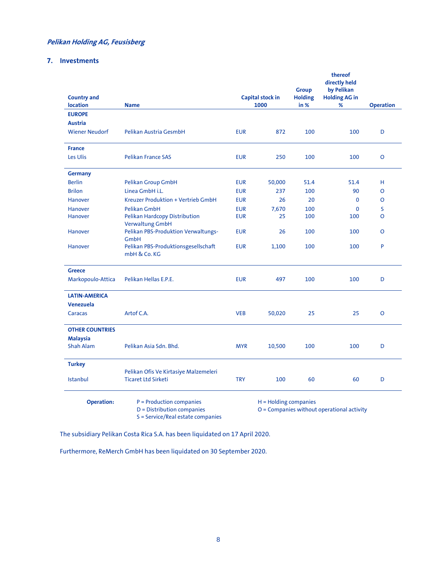#### **7. Investments**

|                                |                                                    |            |                          | <b>Group</b>           | thereof<br>directly held<br>by Pelikan     |                  |
|--------------------------------|----------------------------------------------------|------------|--------------------------|------------------------|--------------------------------------------|------------------|
| <b>Country and</b><br>location | <b>Name</b>                                        |            | Capital stock in<br>1000 | <b>Holding</b><br>in % | <b>Holding AG in</b><br>%                  | <b>Operation</b> |
| <b>EUROPE</b>                  |                                                    |            |                          |                        |                                            |                  |
|                                |                                                    |            |                          |                        |                                            |                  |
| <b>Austria</b>                 |                                                    |            |                          |                        |                                            |                  |
| <b>Wiener Neudorf</b>          | Pelikan Austria GesmbH                             | <b>EUR</b> | 872                      | 100                    | 100                                        | D                |
| <b>France</b>                  |                                                    |            |                          |                        |                                            |                  |
| Les Ulis                       | <b>Pelikan France SAS</b>                          | <b>EUR</b> | 250                      | 100                    | 100                                        | O                |
| <b>Germany</b>                 |                                                    |            |                          |                        |                                            |                  |
| <b>Berlin</b>                  | Pelikan Group GmbH                                 | <b>EUR</b> | 50,000                   | 51.4                   | 51.4                                       | н                |
| <b>Brilon</b>                  | Linea GmbH i.L.                                    | <b>EUR</b> | 237                      | 100                    | 90                                         | O                |
| Hanover                        | Kreuzer Produktion + Vertrieb GmbH                 | <b>EUR</b> | 26                       | 20                     | $\mathbf{0}$                               | O                |
| <b>Hanover</b>                 | <b>Pelikan GmbH</b>                                | <b>EUR</b> | 7,670                    | 100                    | $\mathbf{0}$                               | S                |
| Hanover                        | Pelikan Hardcopy Distribution                      | <b>EUR</b> | 25                       | 100                    | 100                                        | O                |
|                                | <b>Verwaltung GmbH</b>                             |            |                          |                        |                                            |                  |
| Hanover                        | Pelikan PBS-Produktion Verwaltungs-                | <b>EUR</b> | 26                       | 100                    | 100                                        | O                |
| Hanover                        | <b>GmbH</b><br>Pelikan PBS-Produktionsgesellschaft | <b>EUR</b> | 1,100                    | 100                    | 100                                        | P                |
|                                | mbH & Co. KG                                       |            |                          |                        |                                            |                  |
| <b>Greece</b>                  |                                                    |            |                          |                        |                                            |                  |
| Markopoulo-Attica              | Pelikan Hellas E.P.E.                              | <b>EUR</b> | 497                      | 100                    | 100                                        | D                |
|                                |                                                    |            |                          |                        |                                            |                  |
| <b>LATIN-AMERICA</b>           |                                                    |            |                          |                        |                                            |                  |
| Venezuela                      |                                                    |            |                          |                        |                                            |                  |
| Caracas                        | Artof C.A.                                         | <b>VEB</b> | 50,020                   | 25                     | 25                                         | O                |
| <b>OTHER COUNTRIES</b>         |                                                    |            |                          |                        |                                            |                  |
| <b>Malaysia</b>                |                                                    |            |                          |                        |                                            |                  |
| <b>Shah Alam</b>               | Pelikan Asia Sdn. Bhd.                             | <b>MYR</b> | 10,500                   | 100                    | 100                                        | D                |
| <b>Turkey</b>                  |                                                    |            |                          |                        |                                            |                  |
|                                | Pelikan Ofis Ve Kirtasiye Malzemeleri              |            |                          |                        |                                            |                  |
| Istanbul                       | <b>Ticaret Ltd Sirketi</b>                         | <b>TRY</b> | 100                      | 60                     | 60                                         | D                |
|                                |                                                    |            |                          |                        |                                            |                  |
| <b>Operation:</b>              | P = Production companies                           |            | H = Holding companies    |                        |                                            |                  |
|                                | D = Distribution companies                         |            |                          |                        | O = Companies without operational activity |                  |
|                                | S = Service/Real estate companies                  |            |                          |                        |                                            |                  |

The subsidiary Pelikan Costa Rica S.A. has been liquidated on 17 April 2020.

Furthermore, ReMerch GmbH has been liquidated on 30 September 2020.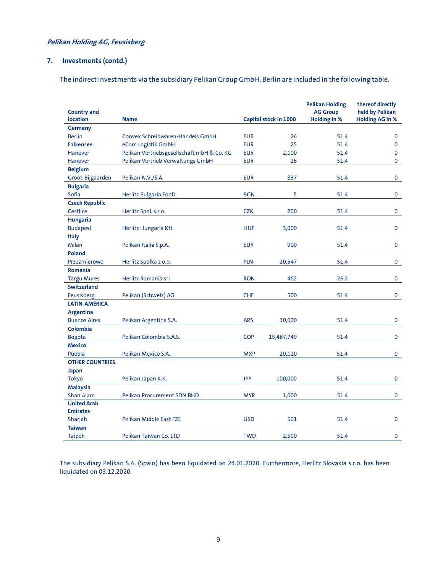### **7. Investments (contd.)**

The indirect investments via the subsidiary Pelikan Group GmbH, Berlin are included in the following table.

| <b>Country and</b>     |                                            |            |                       | <b>Pelikan Holding</b><br><b>AG Group</b> | thereof directly<br>held by Pelikan |
|------------------------|--------------------------------------------|------------|-----------------------|-------------------------------------------|-------------------------------------|
| location               | <b>Name</b>                                |            | Capital stock in 1000 | <b>Holding in %</b>                       | <b>Holding AG in %</b>              |
| <b>Germany</b>         |                                            |            |                       |                                           |                                     |
| <b>Berlin</b>          | Convex Schreibwaren-Handels GmbH           | <b>EUR</b> | 26                    | 51.4                                      | $\mathbf 0$                         |
| <b>Falkensee</b>       | eCom Logistik GmbH                         | <b>EUR</b> | 25                    | 51.4                                      | $\mathbf 0$                         |
| Hanover                | Pelikan Vertriebsgesellschaft mbH & Co. KG | <b>EUR</b> | 2,100                 | 51.4                                      | $\mathbf{0}$                        |
| Hanover                | Pelikan Vertrieb Verwaltungs GmbH          | <b>EUR</b> | 26                    | 51.4                                      | $\mathbf 0$                         |
| <b>Belgium</b>         |                                            |            |                       |                                           |                                     |
| Groot-Bijgaarden       | Pelikan N.V./S.A.                          | <b>EUR</b> | 837                   | 51.4                                      | $\mathbf 0$                         |
| <b>Bulgaria</b>        |                                            |            |                       |                                           |                                     |
| Sofia                  | Herlitz Bulgaria EooD                      | <b>BGN</b> | 5                     | 51.4                                      | $\mathbf{0}$                        |
| <b>Czech Republic</b>  |                                            |            |                       |                                           |                                     |
| Cestlice               | Herlitz Spol. s.r.o.                       | <b>CZK</b> | 200                   | 51.4                                      | $\mathbf 0$                         |
| <b>Hungaria</b>        |                                            |            |                       |                                           |                                     |
| <b>Budapest</b>        | Herlitz Hungaria Kft                       | <b>HUF</b> | 3,000                 | 51.4                                      | 0                                   |
| <b>Italy</b>           |                                            |            |                       |                                           |                                     |
| Milan                  | Pelikan Italia S.p.A.                      | <b>EUR</b> | 900                   | 51.4                                      | $\mathbf 0$                         |
| Poland                 |                                            |            |                       |                                           |                                     |
| Przezmierowo           | Herlitz Spolka z o.o.                      | <b>PLN</b> | 20,547                | 51.4                                      | $\mathbf 0$                         |
| <b>Romania</b>         |                                            |            |                       |                                           |                                     |
| <b>Targu Mures</b>     | Herlitz Romania srl                        | <b>RON</b> | 462                   | 26.2                                      | $\mathbf 0$                         |
| <b>Switzerland</b>     |                                            |            |                       |                                           |                                     |
| Feusisberg             | Pelikan (Schweiz) AG                       | <b>CHF</b> | 500                   | 51.4                                      | $\mathbf 0$                         |
| <b>LATIN-AMERICA</b>   |                                            |            |                       |                                           |                                     |
| <b>Argentina</b>       |                                            |            |                       |                                           |                                     |
| <b>Buenos Aires</b>    | Pelikan Argentina S.A.                     | <b>ARS</b> | 30,000                | 51.4                                      | 0                                   |
| <b>Colombia</b>        |                                            |            |                       |                                           |                                     |
| <b>Bogota</b>          | Pelikan Colombia S.A.S.                    | <b>COP</b> | 15,487,749            | 51.4                                      | $\mathbf 0$                         |
| <b>Mexico</b>          |                                            |            |                       |                                           |                                     |
| Puebla                 | Pelikan Mexico S.A.                        | <b>MXP</b> | 20,120                | 51.4                                      | $\mathbf 0$                         |
| <b>OTHER COUNTRIES</b> |                                            |            |                       |                                           |                                     |
| <b>Japan</b>           |                                            |            |                       |                                           |                                     |
| <b>Tokyo</b>           | Pelikan Japan K.K.                         | <b>JPY</b> | 100,000               | 51.4                                      | $\mathbf 0$                         |
| <b>Malaysia</b>        |                                            |            |                       |                                           |                                     |
| <b>Shah Alam</b>       | <b>Pelikan Procurement SDN BHD</b>         | <b>MYR</b> | 1,000                 | 51.4                                      | $\mathbf 0$                         |
| <b>United Arab</b>     |                                            |            |                       |                                           |                                     |
| <b>Emirates</b>        |                                            |            |                       |                                           |                                     |
| Sharjah                | Pelikan Middle East FZE                    | <b>USD</b> | 501                   | 51.4                                      | $\mathbf 0$                         |
| <b>Taiwan</b>          |                                            |            |                       |                                           |                                     |
| <b>Taipeh</b>          | Pelikan Taiwan Co. LTD                     | <b>TWD</b> | 2,500                 | 51.4                                      | $\mathbf 0$                         |

The subsidiary Pelikan S.A. (Spain) has been liquidated on 24.01.2020. Furthermore, Herlitz Slovakia s.r.o. has been liquidated on 03.12.2020.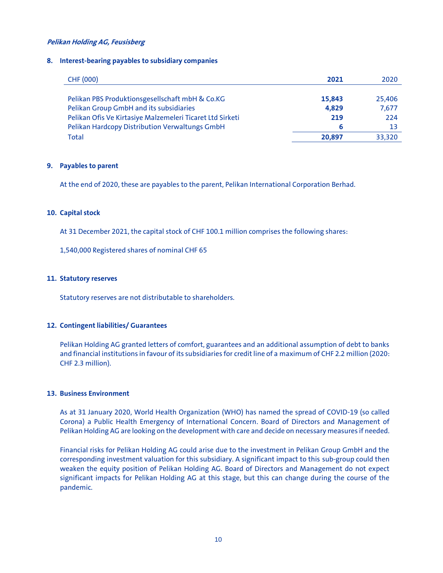#### **8. Interest-bearing payables to subsidiary companies**

| <b>CHF (000)</b>                                          | 2021   | 2020   |
|-----------------------------------------------------------|--------|--------|
|                                                           |        |        |
| Pelikan PBS Produktionsgesellschaft mbH & Co.KG           | 15,843 | 25,406 |
| Pelikan Group GmbH and its subsidiaries                   | 4.829  | 7,677  |
| Pelikan Ofis Ve Kirtasiye Malzemeleri Ticaret Ltd Sirketi | 219    | 224    |
| Pelikan Hardcopy Distribution Verwaltungs GmbH            | 6      | 13     |
| Total                                                     | 20,897 | 33,320 |

#### **9. Payables to parent**

At the end of 2020, these are payables to the parent, Pelikan International Corporation Berhad.

#### **10. Capital stock**

At 31 December 2021, the capital stock of CHF 100.1 million comprises the following shares:

1,540,000 Registered shares of nominal CHF 65

#### **11. Statutory reserves**

Statutory reserves are not distributable to shareholders.

#### **12. Contingent liabilities/ Guarantees**

Pelikan Holding AG granted letters of comfort, guarantees and an additional assumption of debt to banks and financial institutions in favour of its subsidiaries for credit line of a maximum of CHF 2.2 million (2020: CHF 2.3 million).

#### **13. Business Environment**

As at 31 January 2020, World Health Organization (WHO) has named the spread of COVID-19 (so called Corona) a Public Health Emergency of International Concern. Board of Directors and Management of Pelikan Holding AG are looking on the development with care and decide on necessary measures if needed.

Financial risks for Pelikan Holding AG could arise due to the investment in Pelikan Group GmbH and the corresponding investment valuation for this subsidiary. A significant impact to this sub-group could then weaken the equity position of Pelikan Holding AG. Board of Directors and Management do not expect significant impacts for Pelikan Holding AG at this stage, but this can change during the course of the pandemic.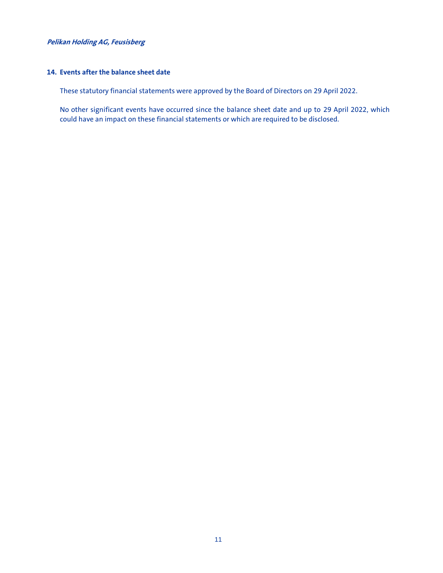#### **14. Events after the balance sheet date**

These statutory financial statements were approved by the Board of Directors on 29 April 2022.

No other significant events have occurred since the balance sheet date and up to 29 April 2022, which could have an impact on these financial statements or which are required to be disclosed.